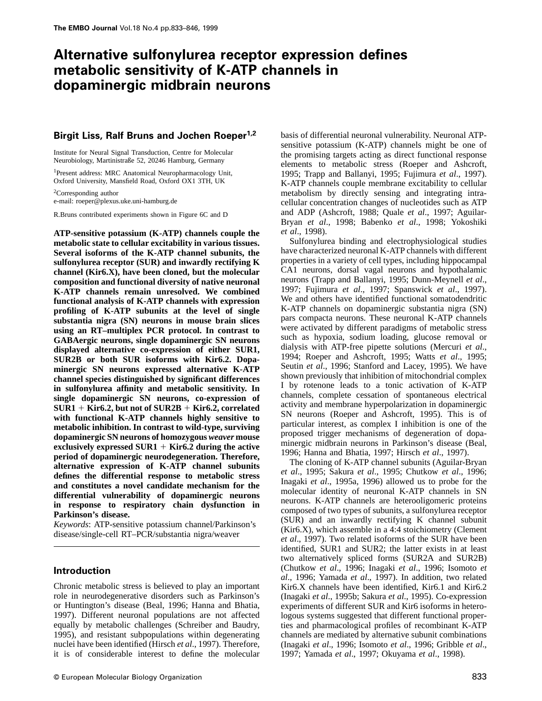# **Alternative sulfonylurea receptor expression defines metabolic sensitivity of K-ATP channels in dopaminergic midbrain neurons**

# **Birgit Liss, Ralf Bruns and Jochen Roeper1,2**

Institute for Neural Signal Transduction, Centre for Molecular Neurobiology, Martinistraße 52, 20246 Hamburg, Germany

1Present address: MRC Anatomical Neuropharmacology Unit, Oxford University, Mansfield Road, Oxford OX1 3TH, UK

2Corresponding author e-mail: roeper@plexus.uke.uni-hamburg.de

R.Bruns contributed experiments shown in Figure 6C and D

**ATP-sensitive potassium (K-ATP) channels couple the metabolic state to cellular excitability in various tissues. Several isoforms of the K-ATP channel subunits, the sulfonylurea receptor (SUR) and inwardly rectifying K channel (Kir6.X), have been cloned, but the molecular composition and functional diversity of native neuronal K-ATP channels remain unresolved. We combined functional analysis of K-ATP channels with expression profiling of K-ATP subunits at the level of single substantia nigra (SN) neurons in mouse brain slices using an RT–multiplex PCR protocol. In contrast to GABAergic neurons, single dopaminergic SN neurons displayed alternative co-expression of either SUR1, SUR2B or both SUR isoforms with Kir6.2. Dopaminergic SN neurons expressed alternative K-ATP channel species distinguished by significant differences in sulfonylurea affinity and metabolic sensitivity. In single dopaminergic SN neurons, co-expression of**  $SURI + Kir6.2$ , but not of  $SUR2B + Kir6.2$ , correlated **with functional K-ATP channels highly sensitive to metabolic inhibition. In contrast to wild-type, surviving dopaminergic SN neurons of homozygous** *weaver* **mouse** exclusively expressed SUR1 + Kir6.2 during the active **period of dopaminergic neurodegeneration. Therefore, alternative expression of K-ATP channel subunits defines the differential response to metabolic stress and constitutes a novel candidate mechanism for the differential vulnerability of dopaminergic neurons in response to respiratory chain dysfunction in Parkinson's disease.**

*Keywords*: ATP-sensitive potassium channel/Parkinson's disease/single-cell RT–PCR/substantia nigra/weaver

## **Introduction**

Chronic metabolic stress is believed to play an important role in neurodegenerative disorders such as Parkinson's or Huntington's disease (Beal, 1996; Hanna and Bhatia, 1997). Different neuronal populations are not affected equally by metabolic challenges (Schreiber and Baudry, 1995), and resistant subpopulations within degenerating nuclei have been identified (Hirsch *et al*., 1997). Therefore, it is of considerable interest to define the molecular basis of differential neuronal vulnerability. Neuronal ATPsensitive potassium (K-ATP) channels might be one of the promising targets acting as direct functional response elements to metabolic stress (Roeper and Ashcroft, 1995; Trapp and Ballanyi, 1995; Fujimura *et al*., 1997). K-ATP channels couple membrane excitability to cellular metabolism by directly sensing and integrating intracellular concentration changes of nucleotides such as ATP and ADP (Ashcroft, 1988; Quale *et al*., 1997; Aguilar-Bryan *et al*., 1998; Babenko *et al*., 1998; Yokoshiki *et al*., 1998).

Sulfonylurea binding and electrophysiological studies have characterized neuronal K-ATP channels with different properties in a variety of cell types, including hippocampal CA1 neurons, dorsal vagal neurons and hypothalamic neurons (Trapp and Ballanyi, 1995; Dunn-Meynell *et al*., 1997; Fujimura *et al*., 1997; Spanswick *et al*., 1997). We and others have identified functional somatodendritic K-ATP channels on dopaminergic substantia nigra (SN) pars compacta neurons. These neuronal K-ATP channels were activated by different paradigms of metabolic stress such as hypoxia, sodium loading, glucose removal or dialysis with ATP-free pipette solutions (Mercuri *et al*., 1994; Roeper and Ashcroft, 1995; Watts *et al*., 1995; Seutin *et al*., 1996; Stanford and Lacey, 1995). We have shown previously that inhibition of mitochondrial complex I by rotenone leads to a tonic activation of K-ATP channels, complete cessation of spontaneous electrical activity and membrane hyperpolarization in dopaminergic SN neurons (Roeper and Ashcroft, 1995). This is of particular interest, as complex I inhibition is one of the proposed trigger mechanisms of degeneration of dopaminergic midbrain neurons in Parkinson's disease (Beal, 1996; Hanna and Bhatia, 1997; Hirsch *et al*., 1997).

The cloning of K-ATP channel subunits (Aguilar-Bryan *et al*., 1995; Sakura *et al*., 1995; Chutkow *et al*., 1996; Inagaki *et al*., 1995a, 1996) allowed us to probe for the molecular identity of neuronal K-ATP channels in SN neurons. K-ATP channels are heterooligomeric proteins composed of two types of subunits, a sulfonylurea receptor (SUR) and an inwardly rectifying K channel subunit (Kir6.X), which assemble in a 4:4 stoichiometry (Clement *et al*., 1997). Two related isoforms of the SUR have been identified, SUR1 and SUR2; the latter exists in at least two alternatively spliced forms (SUR2A and SUR2B) (Chutkow *et al*., 1996; Inagaki *et al*., 1996; Isomoto *et al*., 1996; Yamada *et al*., 1997). In addition, two related Kir6.X channels have been identified, Kir6.1 and Kir6.2 (Inagaki *et al*., 1995b; Sakura *et al*., 1995). Co-expression experiments of different SUR and Kir6 isoforms in heterologous systems suggested that different functional properties and pharmacological profiles of recombinant K-ATP channels are mediated by alternative subunit combinations (Inagaki *et al*., 1996; Isomoto *et al*., 1996; Gribble *et al*., 1997; Yamada *et al*., 1997; Okuyama *et al*., 1998).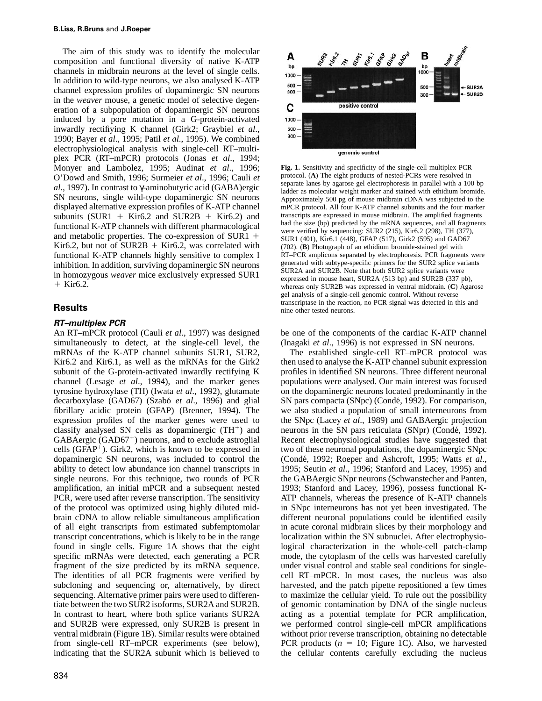The aim of this study was to identify the molecular composition and functional diversity of native K-ATP channels in midbrain neurons at the level of single cells. In addition to wild-type neurons, we also analysed K-ATP channel expression profiles of dopaminergic SN neurons in the *weaver* mouse, a genetic model of selective degeneration of a subpopulation of dopaminergic SN neurons induced by a pore mutation in a G-protein-activated inwardly rectifiying K channel (Girk2; Graybiel *et al*., 1990; Bayer *et al*., 1995; Patil *et al*., 1995). We combined electrophysiological analysis with single-cell RT–multiplex PCR (RT–mPCR) protocols (Jonas *et al*., 1994; Monyer and Lambolez, 1995; Audinat *et al*., 1996; O'Dowd and Smith, 1996; Surmeier *et al*., 1996; Cauli *et al*., 1997). In contrast to γ-aminobutyric acid (GABA)ergic SN neurons, single wild-type dopaminergic SN neurons displayed alternative expression profiles of K-ATP channel subunits (SUR1 + Kir6.2 and SUR2B + Kir6.2) and functional K-ATP channels with different pharmacological and metabolic properties. The co-expression of  $SUR1 +$ Kir6.2, but not of SUR2B  $+$  Kir6.2, was correlated with functional K-ATP channels highly sensitive to complex I inhibition. In addition, surviving dopaminergic SN neurons in homozygous *weaver* mice exclusively expressed SUR1  $+$  Kir6.2.

# **Results**

## **RT–multiplex PCR**

An RT–mPCR protocol (Cauli *et al*., 1997) was designed simultaneously to detect, at the single-cell level, the mRNAs of the K-ATP channel subunits SUR1, SUR2, Kir6.2 and Kir6.1, as well as the mRNAs for the Girk2 subunit of the G-protein-activated inwardly rectifying K channel (Lesage *et al*., 1994), and the marker genes tyrosine hydroxylase (TH) (Iwata *et al*., 1992), glutamate decarboxylase (GAD67) (Szabo´ *et al*., 1996) and glial fibrillary acidic protein (GFAP) (Brenner, 1994). The expression profiles of the marker genes were used to classify analysed SN cells as dopaminergic  $(TH^+)$  and GABAergic  $(GAD67<sup>+</sup>)$  neurons, and to exclude astroglial cells (GFAP<sup>+</sup>). Girk2, which is known to be expressed in dopaminergic SN neurons, was included to control the ability to detect low abundance ion channel transcripts in single neurons. For this technique, two rounds of PCR amplification, an initial mPCR and a subsequent nested PCR, were used after reverse transcription. The sensitivity of the protocol was optimized using highly diluted midbrain cDNA to allow reliable simultaneous amplification of all eight transcripts from estimated subfemptomolar transcript concentrations, which is likely to be in the range found in single cells. Figure 1A shows that the eight specific mRNAs were detected, each generating a PCR fragment of the size predicted by its mRNA sequence. The identities of all PCR fragments were verified by subcloning and sequencing or, alternatively, by direct sequencing. Alternative primer pairs were used to differentiate between the two SUR2 isoforms, SUR2A and SUR2B. In contrast to heart, where both splice variants SUR2A and SUR2B were expressed, only SUR2B is present in ventral midbrain (Figure 1B). Similar results were obtained from single-cell RT–mPCR experiments (see below), indicating that the SUR2A subunit which is believed to



**Fig. 1.** Sensitivity and specificity of the single-cell multiplex PCR protocol. (**A**) The eight products of nested-PCRs were resolved in separate lanes by agarose gel electrophoresis in parallel with a 100 bp ladder as molecular weight marker and stained with ethidium bromide. Approximately 500 pg of mouse midbrain cDNA was subjected to the mPCR protocol. All four K-ATP channel subunits and the four marker transcripts are expressed in mouse midbrain. The amplified fragments had the size (bp) predicted by the mRNA sequences, and all fragments were verified by sequencing: SUR2 (215), Kir6.2 (298), TH (377), SUR1 (401), Kir6.1 (448), GFAP (517), Girk2 (595) and GAD67 (702). (**B**) Photograph of an ethidium bromide-stained gel with RT–PCR amplicons separated by electrophoresis. PCR fragments were generated with subtype-specific primers for the SUR2 splice variants SUR2A and SUR2B. Note that both SUR2 splice variants were expressed in mouse heart, SUR2A (513 bp) and SUR2B (337 pb), whereas only SUR2B was expressed in ventral midbrain. (**C**) Agarose gel analysis of a single-cell genomic control. Without reverse transcriptase in the reaction, no PCR signal was detected in this and nine other tested neurons.

be one of the components of the cardiac K-ATP channel (Inagaki *et al*., 1996) is not expressed in SN neurons.

The established single-cell RT–mPCR protocol was then used to analyse the K-ATP channel subunit expression profiles in identified SN neurons. Three different neuronal populations were analysed. Our main interest was focused on the dopaminergic neurons located predominantly in the SN pars compacta (SNpc) (Condé, 1992). For comparison, we also studied a population of small interneurons from the SNpc (Lacey *et al*., 1989) and GABAergic projection neurons in the SN pars reticulata (SNpr) (Condé, 1992). Recent electrophysiological studies have suggested that two of these neuronal populations, the dopaminergic SNpc (Conde´, 1992; Roeper and Ashcroft, 1995; Watts *et al*., 1995; Seutin *et al*., 1996; Stanford and Lacey, 1995) and the GABAergic SNpr neurons (Schwanstecher and Panten, 1993; Stanford and Lacey, 1996), possess functional K-ATP channels, whereas the presence of K-ATP channels in SNpc interneurons has not yet been investigated. The different neuronal populations could be identified easily in acute coronal midbrain slices by their morphology and localization within the SN subnuclei. After electrophysiological characterization in the whole-cell patch-clamp mode, the cytoplasm of the cells was harvested carefully under visual control and stable seal conditions for singlecell RT–mPCR. In most cases, the nucleus was also harvested, and the patch pipette repositioned a few times to maximize the cellular yield. To rule out the possibility of genomic contamination by DNA of the single nucleus acting as a potential template for PCR amplification, we performed control single-cell mPCR amplifications without prior reverse transcription, obtaining no detectable PCR products  $(n = 10;$  Figure 1C). Also, we harvested the cellular contents carefully excluding the nucleus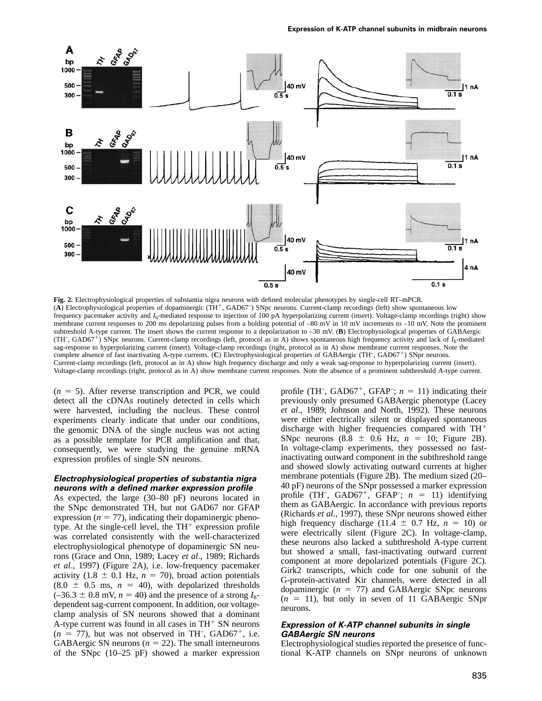

**Fig. 2.** Electrophysiological properties of substantia nigra neurons with defined molecular phenotypes by single-cell RT–mPCR. (A) Electrophysiological properties of dopaminergic (TH<sup>+</sup>, GAD67<sup>-</sup>) SNpc neurons. Current-clamp recordings (left) show spontaneous low frequency pacemaker activity and *I*h-mediated response to injection of 100 pA hyperpolarizing current (insert). Voltage-clamp recordings (right) show membrane current responses to 200 ms depolarizing pulses from a holding potential of –80 mV in 10 mV increments to –10 mV. Note the prominent subtreshold A-type current. The insert shows the current response to a depolarization to –30 mV. (**B**) Electrophysiological properties of GABAergic (TH<sup>-</sup>, GAD67<sup>+</sup>) SNpc neurons. Current-clamp recordings (left, protocol as in A) shows spontaneous high frequency activity and lack of  $I_h$ -mediated sag-response to hyperpolarizing current (insert). Voltage-clamp recordings (right, protocol as in A) show membrane current responses. Note the complete absence of fast inactivating A-type currents. (C) Electrophysiological properties of GABAergic (TH<sup>-</sup>, GAD67<sup>+</sup>) SNpr neurons. Current-clamp recordings (left, protocol as in A) show high frequency discharge and only a weak sag-response to hyperpolarizing current (insert). Voltage-clamp recordings (right, protocol as in A) show membrane current responses. Note the absence of a prominent subthreshold A-type current.

 $(n = 5)$ . After reverse transcription and PCR, we could detect all the cDNAs routinely detected in cells which were harvested, including the nucleus. These control experiments clearly indicate that under our conditions, the genomic DNA of the single nucleus was not acting as a possible template for PCR amplification and that, consequently, we were studying the genuine mRNA expression profiles of single SN neurons.

#### **Electrophysiological properties of substantia nigra neurons with <sup>a</sup> defined marker expression profile**

As expected, the large (30–80 pF) neurons located in the SNpc demonstrated TH, but not GAD67 nor GFAP expression  $(n = 77)$ , indicating their dopaminergic phenotype. At the single-cell level, the  $TH<sup>+</sup>$  expression profile was correlated consistently with the well-characterized electrophysiological phenotype of dopaminergic SN neurons (Grace and Onn, 1989; Lacey *et al*., 1989; Richards *et al*., 1997) (Figure 2A), i.e. low-frequency pacemaker activity (1.8  $\pm$  0.1 Hz, *n* = 70), broad action potentials  $(8.0 \pm 0.5 \text{ ms}, n = 40)$ , with depolarized thresholds  $(-36.3 \pm 0.8 \text{ mV}, n = 40)$  and the presence of a strong  $I_{h}$ dependent sag-current component. In addition, our voltageclamp analysis of SN neurons showed that a dominant A-type current was found in all cases in  $TH^+$  SN neurons  $(n = 77)$ , but was not observed in TH<sup>-</sup>, GAD67<sup>+</sup>, i.e. GABAergic SN neurons  $(n = 22)$ . The small interneurons of the SNpc (10–25 pF) showed a marker expression profile (TH<sup>-</sup>, GAD67<sup>+</sup>, GFAP<sup>-</sup>;  $n = 11$ ) indicating their previously only presumed GABAergic phenotype (Lacey *et al*., 1989; Johnson and North, 1992). These neurons were either electrically silent or displayed spontaneous discharge with higher frequencies compared with  $TH^+$ SNpc neurons  $(8.8 \pm 0.6 \text{ Hz}, n = 10; \text{ Figure } 2B)$ . In voltage-clamp experiments, they possessed no fastinactivating outward component in the subthreshold range and showed slowly activating outward currents at higher membrane potentials (Figure 2B). The medium sized (20– 40 pF) neurons of the SNpr possessed a marker expression profile (TH<sup>-</sup>, GAD67<sup>+</sup>, GFAP<sup>-</sup>;  $n = 11$ ) identifying them as GABAergic. In accordance with previous reports (Richards *et al*., 1997), these SNpr neurons showed either high frequency discharge (11.4  $\pm$  0.7 Hz, *n* = 10) or were electrically silent (Figure 2C). In voltage-clamp, these neurons also lacked a subthreshold A-type current but showed a small, fast-inactivating outward current component at more depolarized potentials (Figure 2C). Girk2 transcripts, which code for one subunit of the G-protein-activated Kir channels, were detected in all dopaminergic  $(n = 77)$  and GABAergic SNpc neurons  $(n = 11)$ , but only in seven of 11 GABAergic SNpr neurons.

# **Expression of K-ATP channel subunits in single GABAergic SN neurons**

Electrophysiological studies reported the presence of functional K-ATP channels on SNpr neurons of unknown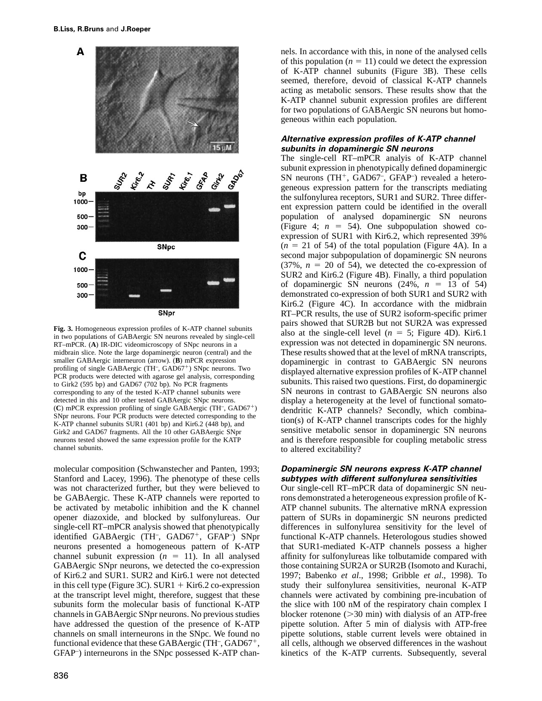

**Fig. 3.** Homogeneous expression profiles of K-ATP channel subunits in two populations of GABAergic SN neurons revealed by single-cell RT–mPCR. (**A**) IR-DIC videomicroscopy of SNpc neurons in a midbrain slice. Note the large dopaminergic neuron (central) and the smaller GABAergic interneuron (arrow). (**B**) mPCR expression profiling of single GABAergic (TH<sup>-</sup>, GAD67<sup>+</sup>) SNpc neurons. Two PCR products were detected with agarose gel analysis, corresponding to Girk2 (595 bp) and GAD67 (702 bp). No PCR fragments corresponding to any of the tested K-ATP channel subunits were detected in this and 10 other tested GABAergic SNpc neurons. (C) mPCR expression profiling of single GABAergic (TH<sup>-</sup>, GAD67<sup>+</sup>) SNpr neurons. Four PCR products were detected corresponding to the K-ATP channel subunits SUR1 (401 bp) and Kir6.2 (448 bp), and Girk2 and GAD67 fragments. All the 10 other GABAergic SNpr neurons tested showed the same expression profile for the KATP channel subunits.

molecular composition (Schwanstecher and Panten, 1993; Stanford and Lacey, 1996). The phenotype of these cells was not characterized further, but they were believed to be GABAergic. These K-ATP channels were reported to be activated by metabolic inhibition and the K channel opener diazoxide, and blocked by sulfonylureas. Our single-cell RT–mPCR analysis showed that phenotypically identified GABAergic (TH<sup>-</sup>, GAD67<sup>+</sup>, GFAP<sup>-</sup>) SNpr neurons presented a homogeneous pattern of K-ATP channel subunit expression  $(n = 11)$ . In all analysed GABAergic SNpr neurons, we detected the co-expression of Kir6.2 and SUR1. SUR2 and Kir6.1 were not detected in this cell type (Figure 3C). SUR1  $+$  Kir6.2 co-expression at the transcript level might, therefore, suggest that these subunits form the molecular basis of functional K-ATP channels in GABAergic SNpr neurons. No previous studies have addressed the question of the presence of K-ATP channels on small interneurons in the SNpc. We found no functional evidence that these GABAergic (TH $\overline{\phantom{a}}$ , GAD67<sup>+</sup>, GFAP–) interneurons in the SNpc possessed K-ATP channels. In accordance with this, in none of the analysed cells of this population  $(n = 11)$  could we detect the expression of K-ATP channel subunits (Figure 3B). These cells seemed, therefore, devoid of classical K-ATP channels acting as metabolic sensors. These results show that the K-ATP channel subunit expression profiles are different for two populations of GABAergic SN neurons but homogeneous within each population.

## **Alternative expression profiles of K-ATP channel subunits in dopaminergic SN neurons**

The single-cell RT–mPCR analyis of K-ATP channel subunit expression in phenotypically defined dopaminergic SN neurons  $(TH^+, GAD67, GFAP^-)$  revealed a heterogeneous expression pattern for the transcripts mediating the sulfonylurea receptors, SUR1 and SUR2. Three different expression pattern could be identified in the overall population of analysed dopaminergic SN neurons (Figure 4;  $n = 54$ ). One subpopulation showed coexpression of SUR1 with Kir6.2, which represented 39%  $(n = 21$  of 54) of the total population (Figure 4A). In a second major subpopulation of dopaminergic SN neurons  $(37\%, n = 20 \text{ of } 54)$ , we detected the co-expression of SUR2 and Kir6.2 (Figure 4B). Finally, a third population of dopaminergic SN neurons  $(24\%, n = 13 \text{ of } 54)$ demonstrated co-expression of both SUR1 and SUR2 with Kir6.2 (Figure 4C). In accordance with the midbrain RT–PCR results, the use of SUR2 isoform-specific primer pairs showed that SUR2B but not SUR2A was expressed also at the single-cell level  $(n = 5;$  Figure 4D). Kir6.1 expression was not detected in dopaminergic SN neurons. These results showed that at the level of mRNA transcripts, dopaminergic in contrast to GABAergic SN neurons displayed alternative expression profiles of K-ATP channel subunits. This raised two questions. First, do dopaminergic SN neurons in contrast to GABAergic SN neurons also display a heterogeneity at the level of functional somatodendritic K-ATP channels? Secondly, which combination(s) of K-ATP channel transcripts codes for the highly sensitive metabolic sensor in dopaminergic SN neurons and is therefore responsible for coupling metabolic stress to altered excitability?

## **Dopaminergic SN neurons express K-ATP channel subtypes with different sulfonylurea sensitivities**

Our single-cell RT–mPCR data of dopaminergic SN neurons demonstrated a heterogeneous expression profile of K-ATP channel subunits. The alternative mRNA expression pattern of SURs in dopaminergic SN neurons predicted differences in sulfonylurea sensitivity for the level of functional K-ATP channels. Heterologous studies showed that SUR1-mediated K-ATP channels possess a higher affinity for sulfonylureas like tolbutamide compared with those containing SUR2A or SUR2B (Isomoto and Kurachi, 1997; Babenko *et al*., 1998; Gribble *et al*., 1998). To study their sulfonylurea sensitivities, neuronal K-ATP channels were activated by combining pre-incubation of the slice with 100 nM of the respiratory chain complex I blocker rotenone  $(>=30 \text{ min})$  with dialysis of an ATP-free pipette solution. After 5 min of dialysis with ATP-free pipette solutions, stable current levels were obtained in all cells, although we observed differences in the washout kinetics of the K-ATP currents. Subsequently, several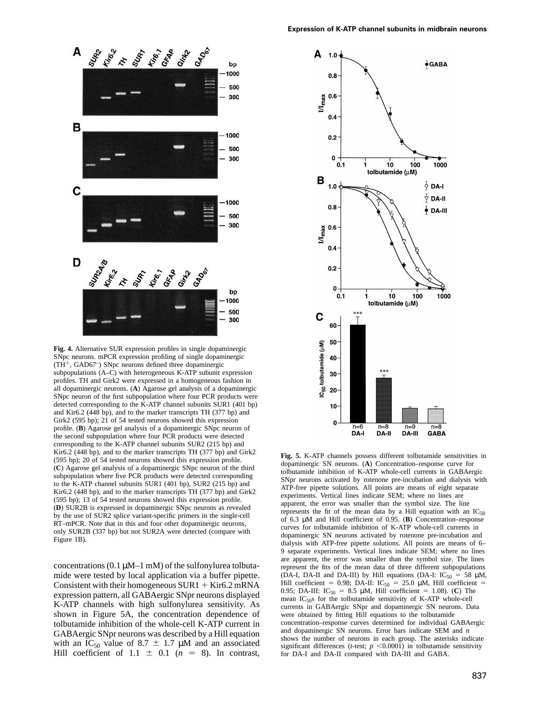

**Fig. 4.** Alternative SUR expression profiles in single dopaminergic SNpc neurons. mPCR expression profiling of single dopaminergic  $(TH^+, \text{GAD67}^-)$  SNpc neurons defined three dopaminergic subpopulations (A–C) with heterogeneous K-ATP subunit expression profiles. TH and Girk2 were expressed in a homogeneous fashion in all dopaminergic neurons. (**A**) Agarose gel analysis of a dopaminergic SNpc neuron of the first subpopulation where four PCR products were detected corresponding to the K-ATP channel subunits SUR1 (401 bp) and Kir6.2 (448 bp), and to the marker transcripts TH (377 bp) and Girk2 (595 bp); 21 of 54 tested neurons showed this expression profile. (**B**) Agarose gel analysis of a dopaminergic SNpc neuron of the second subpopulation where four PCR products were detected corresponding to the K-ATP channel subunits SUR2 (215 bp) and Kir6.2 (448 bp), and to the marker transcripts TH (377 bp) and Girk2 (595 bp); 20 of 54 tested neurons showed this expression profile. (**C**) Agarose gel analysis of a dopaminergic SNpc neuron of the third subpopulation where five PCR products were detected corresponding to the K-ATP channel subunits SUR1 (401 bp), SUR2 (215 bp) and Kir6.2 (448 bp), and to the marker transcripts TH (377 bp) and Girk2 (595 bp); 13 of 54 tested neurons showed this expression profile. (**D**) SUR2B is expressed in dopaminergic SNpc neurons as revealed by the use of SUR2 splice variant-specific primers in the single-cell RT–mPCR. Note that in this and four other dopaminergic neurons, only SUR2B (337 bp) but not SUR2A were detected (compare with Figure 1B).

concentrations (0.1  $\mu$ M–1 mM) of the sulfonylurea tolbutamide were tested by local application via a buffer pipette. Consistent with their homogeneous  $SUR1 + Ki r6.2$  mRNA expression pattern, all GABAergic SNpr neurons displayed K-ATP channels with high sulfonylurea sensitivity. As shown in Figure 5A, the concentration dependence of tolbutamide inhibition of the whole-cell K-ATP current in GABAergic SNpr neurons was described by a Hill equation with an IC<sub>50</sub> value of 8.7  $\pm$  1.7  $\mu$ M and an associated Hill coefficient of  $1.1 \pm 0.1$  ( $n = 8$ ). In contrast,



**Fig. 5.** K-ATP channels possess different tolbutamide sensitivities in dopaminergic SN neurons. (**A**) Concentration–response curve for tolbutamide inhibition of K-ATP whole-cell currents in GABAergic SNpr neurons activated by rotenone pre-incubation and dialysis with ATP-free pipette solutions. All points are means of eight separate experiments. Vertical lines indicate SEM; where no lines are apparent, the error was smaller than the symbol size. The line represents the fit of the mean data by a Hill equation with an  $IC_{50}$ of 6.3 µM and Hill coefficient of 0.95. (**B**) Concentration–response curves for tolbutamide inhibition of K-ATP whole-cell currents in dopaminergic SN neurons activated by rotenone pre-incubation and dialysis with ATP-free pipette solutions. All points are means of 6– 9 separate experiments. Vertical lines indicate SEM; where no lines are apparent, the error was smaller than the symbol size. The lines represent the fits of the mean data of three different subpopulations (DA-I, DA-II and DA-III) by Hill equations (DA-I:  $IC_{50} = 58 \mu M$ , Hill coefficient = 0.98; DA-II: IC<sub>50</sub> = 25.0  $\mu$ M, Hill coefficient = 0.95; DA-III:  $IC_{50} = 8.5 \mu M$ , Hill coefficient = 1.08). (**C**) The mean IC<sub>50</sub>s for the tolbutamide sensitivity of K-ATP whole-cell currents in GABAergic SNpr and dopaminergic SN neurons. Data were obtained by fitting Hill equations to the tolbutamide concentration–response curves determined for individual GABAergic and dopaminergic SN neurons. Error bars indicate SEM and *n* shows the number of neurons in each group. The asterisks indicate significant differences (*t*-test;  $p \le 0.0001$ ) in tolbutamide sensitivity for DA-I and DA-II compared with DA-III and GABA.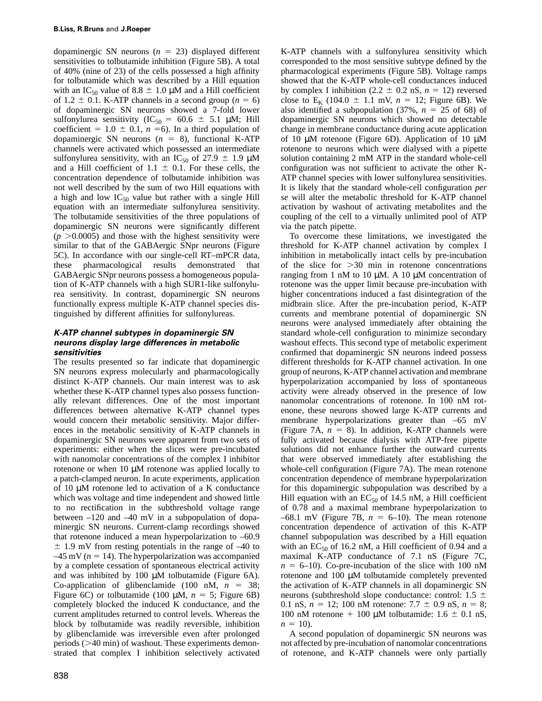dopaminergic SN neurons  $(n = 23)$  displayed different sensitivities to tolbutamide inhibition (Figure 5B). A total of 40% (nine of 23) of the cells possessed a high affinity for tolbutamide which was described by a Hill equation with an IC<sub>50</sub> value of 8.8  $\pm$  1.0 µM and a Hill coefficient of 1.2  $\pm$  0.1. K-ATP channels in a second group ( $n = 6$ ) of dopaminergic SN neurons showed a 7-fold lower sulfonylurea sensitivity ( $IC_{50} = 60.6 \pm 5.1 \mu M$ ; Hill coefficient =  $1.0 \pm 0.1$ ,  $n = 6$ ). In a third population of dopaminergic SN neurons  $(n = 8)$ , functional K-ATP channels were activated which possessed an intermediate sulfonylurea sensitivity, with an IC<sub>50</sub> of 27.9  $\pm$  1.9  $\mu$ M and a Hill coefficient of 1.1  $\pm$  0.1. For these cells, the concentration dependence of tolbutamide inhibition was not well described by the sum of two Hill equations with a high and low  $IC_{50}$  value but rather with a single Hill equation with an intermediate sulfonylurea sensitivity. The tolbutamide sensitivities of the three populations of dopaminergic SN neurons were significantly different  $(p > 0.0005)$  and those with the highest sensitivity were similar to that of the GABAergic SNpr neurons (Figure 5C). In accordance with our single-cell RT–mPCR data, these pharmacological results demonstrated that GABAergic SNpr neurons possess a homogeneous population of K-ATP channels with a high SUR1-like sulfonylurea sensitivity. In contrast, dopaminergic SN neurons functionally express multiple K-ATP channel species distinguished by different affinities for sulfonylureas.

# **K-ATP channel subtypes in dopaminergic SN neurons display large differences in metabolic sensitivities**

The results presented so far indicate that dopaminergic SN neurons express molecularly and pharmacologically distinct K-ATP channels. Our main interest was to ask whether these K-ATP channel types also possess functionally relevant differences. One of the most important differences between alternative K-ATP channel types would concern their metabolic sensitivity. Major differences in the metabolic sensitivity of K-ATP channels in dopaminergic SN neurons were apparent from two sets of experiments: either when the slices were pre-incubated with nanomolar concentrations of the complex I inhibitor rotenone or when 10 µM rotenone was applied locally to a patch-clamped neuron. In acute experiments, application of 10 µM rotenone led to activation of a K conductance which was voltage and time independent and showed little to no rectification in the subthreshold voltage range between  $-120$  and  $-40$  mV in a subpopulation of dopaminergic SN neurons. Current-clamp recordings showed that rotenone induced a mean hyperpolarization to –60.9  $\pm$  1.9 mV from resting potentials in the range of –40 to  $-45$  mV ( $n = 14$ ). The hyperpolarization was accompanied by a complete cessation of spontaneous electrical activity and was inhibited by 100 µM tolbutamide (Figure 6A). Co-application of glibenclamide (100 nM,  $n = 38$ ; Figure 6C) or tolbutamide (100  $\mu$ M,  $n = 5$ ; Figure 6B) completely blocked the induced K conductance, and the current amplitudes returned to control levels. Whereas the block by tolbutamide was readily reversible, inhibition by glibenclamide was irreversible even after prolonged periods  $(>= 40 \text{ min})$  of washout. These experiments demonstrated that complex I inhibition selectively activated

K-ATP channels with a sulfonylurea sensitivity which corresponded to the most sensitive subtype defined by the pharmacological experiments (Figure 5B). Voltage ramps showed that the K-ATP whole-cell conductances induced by complex I inhibition (2.2  $\pm$  0.2 nS, *n* = 12) reversed close to  $E_K$  (104.0  $\pm$  1.1 mV,  $n = 12$ ; Figure 6B). We also identified a subpopulation (37%,  $n = 25$  of 68) of dopaminergic SN neurons which showed no detectable change in membrane conductance during acute application of 10  $\mu$ M rotenone (Figure 6D). Application of 10  $\mu$ M rotenone to neurons which were dialysed with a pipette solution containing 2 mM ATP in the standard whole-cell configuration was not sufficient to activate the other K-ATP channel species with lower sulfonylurea sensitivities. It is likely that the standard whole-cell configuration *per se* will alter the metabolic threshold for K-ATP channel activation by washout of activating metabolites and the coupling of the cell to a virtually unlimited pool of ATP via the patch pipette.

To overcome these limitations, we investigated the threshold for K-ATP channel activation by complex I inhibition in metabolically intact cells by pre-incubation of the slice for  $>30$  min in rotenone concentrations ranging from 1 nM to 10  $\mu$ M. A 10  $\mu$ M concentration of rotenone was the upper limit because pre-incubation with higher concentrations induced a fast disintegration of the midbrain slice. After the pre-incubation period, K-ATP currents and membrane potential of dopaminergic SN neurons were analysed immediately after obtaining the standard whole-cell configuration to minimize secondary washout effects. This second type of metabolic experiment confirmed that dopaminergic SN neurons indeed possess different thresholds for K-ATP channel activation. In one group of neurons, K-ATP channel activation and membrane hyperpolarization accompanied by loss of spontaneous activity were already observed in the presence of low nanomolar concentrations of rotenone. In 100 nM rotenone, these neurons showed large K-ATP currents and membrane hyperpolarizations greater than –65 mV (Figure 7A,  $n = 8$ ). In addition, K-ATP channels were fully activated because dialysis with ATP-free pipette solutions did not enhance further the outward currents that were observed immediately after establishing the whole-cell configuration (Figure 7A). The mean rotenone concentration dependence of membrane hyperpolarization for this dopaminergic subpopulation was described by a Hill equation with an  $EC_{50}$  of 14.5 nM, a Hill coefficient of 0.78 and a maximal membrane hyperpolarization to  $-68.1$  mV (Figure 7B,  $n = 6{\text -}10$ ). The mean rotenone concentration dependence of activation of this K-ATP channel subpopulation was described by a Hill equation with an  $EC_{50}$  of 16.2 nM, a Hill coefficient of 0.94 and a maximal K-ATP conductance of 7.1 nS (Figure 7C,  $n = 6{\text -}10$ . Co-pre-incubation of the slice with 100 nM rotenone and 100 µM tolbutamide completely prevented the activation of K-ATP channels in all dopaminergic SN neurons (subthreshold slope conductance: control:  $1.5 \pm$ 0.1 nS,  $n = 12$ ; 100 nM rotenone:  $7.7 \pm 0.9$  nS,  $n = 8$ ; 100 nM rotenone + 100  $\mu$ M tolbutamide: 1.6  $\pm$  0.1 nS,  $n = 10$ ).

A second population of dopaminergic SN neurons was not affected by pre-incubation of nanomolar concentrations of rotenone, and K-ATP channels were only partially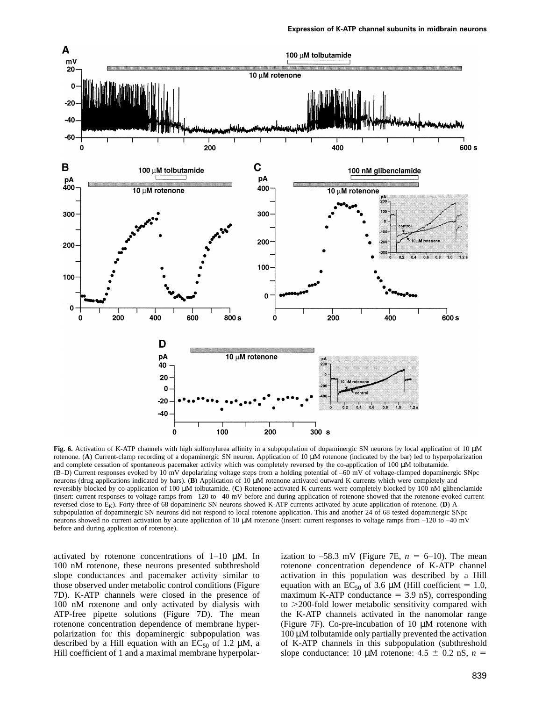![](_page_6_Figure_1.jpeg)

**Fig. 6.** Activation of K-ATP channels with high sulfonylurea affinity in a subpopulation of dopaminergic SN neurons by local application of 10 µM rotenone. (**A**) Current-clamp recording of a dopaminergic SN neuron. Application of 10 µM rotenone (indicated by the bar) led to hyperpolarization and complete cessation of spontaneous pacemaker activity which was completely reversed by the co-application of 100 µM tolbutamide. (B–D) Current responses evoked by 10 mV depolarizing voltage steps from a holding potential of –60 mV of voltage-clamped dopaminergic SNpc neurons (drug applications indicated by bars). (**B**) Application of 10  $\mu$ M rotenone activated outward K currents which were completely and reversibly blocked by co-application of 100 µM tolbutamide. (**C**) Rotenone-activated K currents were completely blocked by 100 nM glibenclamide (insert: current responses to voltage ramps from –120 to –40 mV before and during application of rotenone showed that the rotenone-evoked current reversed close to  $E_K$ ). Forty-three of 68 dopamineric SN neurons showed K-ATP currents activated by acute application of rotenone. (**D**) A subpopulation of dopaminergic SN neurons did not respond to local rotenone application. This and another 24 of 68 tested dopaminergic SNpc neurons showed no current activation by acute application of 10 µM rotenone (insert: current responses to voltage ramps from –120 to –40 mV before and during application of rotenone).

activated by rotenone concentrations of  $1-10 \mu M$ . In 100 nM rotenone, these neurons presented subthreshold slope conductances and pacemaker activity similar to those observed under metabolic control conditions (Figure 7D). K-ATP channels were closed in the presence of 100 nM rotenone and only activated by dialysis with ATP-free pipette solutions (Figure 7D). The mean rotenone concentration dependence of membrane hyperpolarization for this dopaminergic subpopulation was described by a Hill equation with an  $EC_{50}$  of 1.2  $\mu$ M, a Hill coefficient of 1 and a maximal membrane hyperpolar-

ization to  $-58.3$  mV (Figure 7E,  $n = 6{\text -}10$ ). The mean rotenone concentration dependence of K-ATP channel activation in this population was described by a Hill equation with an  $\overline{EC_{50}}$  of 3.6  $\mu$ M (Hill coefficient = 1.0, maximum K-ATP conductance  $=$  3.9 nS), corresponding to  $>$ 200-fold lower metabolic sensitivity compared with the K-ATP channels activated in the nanomolar range (Figure 7F). Co-pre-incubation of 10 µM rotenone with 100 µM tolbutamide only partially prevented the activation of K-ATP channels in this subpopulation (subthreshold slope conductance: 10  $\mu$ M rotenone: 4.5  $\pm$  0.2 nS, *n* =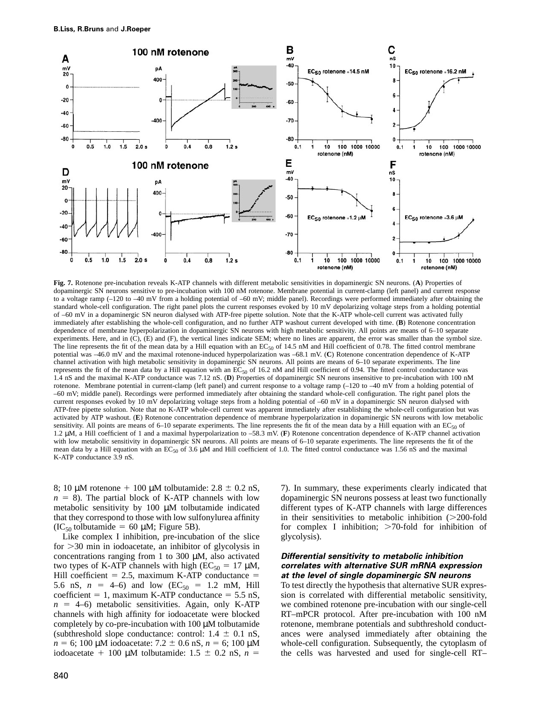![](_page_7_Figure_1.jpeg)

**Fig. 7.** Rotenone pre-incubation reveals K-ATP channels with different metabolic sensitivities in dopaminergic SN neurons. (**A**) Properties of dopaminergic SN neurons sensitive to pre-incubation with 100 nM rotenone. Membrane potential in current-clamp (left panel) and current response to a voltage ramp (–120 to –40 mV from a holding potential of –60 mV; middle panel). Recordings were performed immediately after obtaining the standard whole-cell configuration. The right panel plots the current responses evoked by 10 mV depolarizing voltage steps from a holding potential of –60 mV in a dopaminergic SN neuron dialysed with ATP-free pipette solution. Note that the K-ATP whole-cell current was activated fully immediately after establishing the whole-cell configuration, and no further ATP washout current developed with time. (**B**) Rotenone concentration dependence of membrane hyperpolarization in dopaminergic SN neurons with high metabolic sensitivity. All points are means of 6–10 separate experiments. Here, and in (C), (E) and (F), the vertical lines indicate SEM; where no lines are apparent, the error was smaller than the symbol size. The line represents the fit of the mean data by a Hill equation with an  $EC_{50}$  of 14.5 nM and Hill coefficient of 0.78. The fitted control membrane potential was –46.0 mV and the maximal rotenone-induced hyperpolarization was –68.1 mV. (**C**) Rotenone concentration dependence of K-ATP channel activation with high metabolic sensitivity in dopaminergic SN neurons. All points are means of 6–10 separate experiments. The line represents the fit of the mean data by a Hill equation with an  $EC_{50}$  of 16.2 nM and Hill coefficient of 0.94. The fitted control conductance was 1.4 nS and the maximal K-ATP conductance was 7.12 nS. (**D**) Properties of dopaminergic SN neurons insensitive to pre-incubation with 100 nM rotenone. Membrane potential in current-clamp (left panel) and current response to a voltage ramp (–120 to –40 mV from a holding potential of –60 mV; middle panel). Recordings were performed immediately after obtaining the standard whole-cell configuration. The right panel plots the current responses evoked by 10 mV depolarizing voltage steps from a holding potential of –60 mV in a dopaminergic SN neuron dialysed with ATP-free pipette solution. Note that no K-ATP whole-cell current was apparent immediately after establishing the whole-cell configuration but was activated by ATP washout. (**E**) Rotenone concentration dependence of membrane hyperpolarization in dopaminergic SN neurons with low metabolic sensitivity. All points are means of 6–10 separate experiments. The line represents the fit of the mean data by a Hill equation with an EC<sub>50</sub> of 1.2 µM, a Hill coefficient of 1 and a maximal hyperpolarization to –58.3 mV. (**F**) Rotenone concentration dependence of K-ATP channel activation with low metabolic sensitivity in dopaminergic SN neurons. All points are means of 6–10 separate experiments. The line represents the fit of the mean data by a Hill equation with an  $EC_{50}$  of 3.6  $\mu$ M and Hill coefficient of 1.0. The fitted control conductance was 1.56 nS and the maximal K-ATP conductance 3.9 nS.

8; 10  $\mu$ M rotenone + 100  $\mu$ M tolbutamide: 2.8  $\pm$  0.2 nS,  $n = 8$ ). The partial block of K-ATP channels with low metabolic sensitivity by 100 µM tolbutamide indicated that they correspond to those with low sulfonylurea affinity  $(IC_{50}$  tolbutamide = 60 µM; Figure 5B).

Like complex I inhibition, pre-incubation of the slice for  $>30$  min in iodoacetate, an inhibitor of glycolysis in concentrations ranging from 1 to 300 µM, also activated two types of K-ATP channels with high ( $EC_{50} = 17 \mu M$ , Hill coefficient = 2.5, maximum K-ATP conductance  $=$ 5.6 nS,  $n = 4-6$ ) and low (EC<sub>50</sub> = 1.2 mM, Hill coefficient = 1, maximum K-ATP conductance =  $5.5 \text{ nS}$ ,  $n = 4–6$ ) metabolic sensitivities. Again, only K-ATP channels with high affinity for iodoacetate were blocked completely by co-pre-incubation with  $100 \mu$ M tolbutamide (subthreshold slope conductance: control:  $1.4 \pm 0.1$  nS,  $n = 6$ ; 100 µM iodoacetate:  $7.2 \pm 0.6$  nS,  $n = 6$ ; 100 µM iodoacetate + 100  $\mu$ M tolbutamide: 1.5  $\pm$  0.2 nS, *n* =

840

7). In summary, these experiments clearly indicated that dopaminergic SN neurons possess at least two functionally different types of K-ATP channels with large differences in their sensitivities to metabolic inhibition  $(>=200-fold)$ for complex I inhibition;  $>70$ -fold for inhibition of glycolysis).

# **Differential sensitivity to metabolic inhibition correlates with alternative SUR mRNA expression at the level of single dopaminergic SN neurons**

To test directly the hypothesis that alternative SUR expression is correlated with differential metabolic sensitivity, we combined rotenone pre-incubation with our single-cell RT–mPCR protocol. After pre-incubation with 100 nM rotenone, membrane potentials and subthreshold conductances were analysed immediately after obtaining the whole-cell configuration. Subsequently, the cytoplasm of the cells was harvested and used for single-cell RT–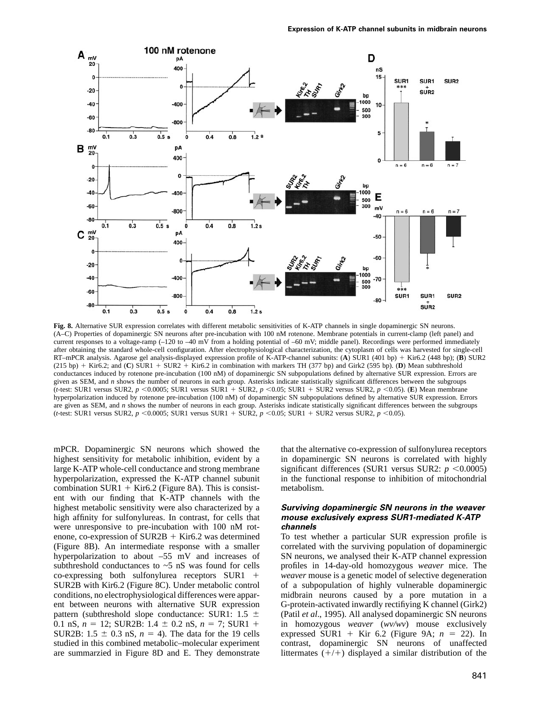![](_page_8_Figure_1.jpeg)

**Fig. 8.** Alternative SUR expression correlates with different metabolic sensitivities of K-ATP channels in single dopaminergic SN neurons. (A–C) Properties of dopaminergic SN neurons after pre-incubation with 100 nM rotenone. Membrane potentials in current-clamp (left panel) and current responses to a voltage-ramp (–120 to –40 mV from a holding potential of –60 mV; middle panel). Recordings were performed immediately after obtaining the standard whole-cell configuration. After electrophysiological characterization, the cytoplasm of cells was harvested for single-cell RT–mPCR analysis. Agarose gel analysis-displayed expression profile of K-ATP-channel subunits: (A) SUR1 (401 bp) + Kir6.2 (448 bp); (**B**) SUR2 (215 bp) + Kir6.2; and (C) SUR1 + SUR2 + Kir6.2 in combination with markers TH (377 bp) and Girk2 (595 bp). (D) Mean subthreshold conductances induced by rotenone pre-incubation (100 nM) of dopaminergic SN subpopulations defined by alternative SUR expression. Errors are given as SEM, and *n* shows the number of neurons in each group. Asterisks indicate statistically significant differences between the subgroups (*t*-test: SUR1 versus SUR2, *p* <0.0005; SUR1 versus SUR1 + SUR2, *p* <0.05; SUR1 + SUR2 versus SUR2, *p* <0.05). (**E**) Mean membrane hyperpolarization induced by rotenone pre-incubation (100 nM) of dopaminergic SN subpopulations defined by alternative SUR expression. Errors are given as SEM, and *n* shows the number of neurons in each group. Asterisks indicate statistically significant differences between the subgroups (*t*-test: SUR1 versus SUR2,  $p < 0.0005$ ; SUR1 versus SUR1 + SUR2,  $p < 0.05$ ; SUR1 + SUR2 versus SUR2,  $p < 0.05$ ).

mPCR. Dopaminergic SN neurons which showed the highest sensitivity for metabolic inhibition, evident by a large K-ATP whole-cell conductance and strong membrane hyperpolarization, expressed the K-ATP channel subunit combination SUR1 + Kir6.2 (Figure 8A). This is consistent with our finding that K-ATP channels with the highest metabolic sensitivity were also characterized by a high affinity for sulfonylureas. In contrast, for cells that were unresponsive to pre-incubation with 100 nM rotenone, co-expression of  $SUR2B + Kir6.2$  was determined (Figure 8B). An intermediate response with a smaller hyperpolarization to about –55 mV and increases of subthreshold conductances to  $\sim$  5 nS was found for cells co-expressing both sulfonylurea receptors  $SUR1 +$ SUR2B with Kir6.2 (Figure 8C). Under metabolic control conditions, no electrophysiological differences were apparent between neurons with alternative SUR expression pattern (subthreshold slope conductance: SUR1:  $1.5 \pm$ 0.1 nS,  $n = 12$ ; SUR2B:  $1.4 \pm 0.2$  nS,  $n = 7$ ; SUR1 + SUR2B:  $1.5 \pm 0.3$  nS,  $n = 4$ ). The data for the 19 cells studied in this combined metabolic–molecular experiment are summarzied in Figure 8D and E. They demonstrate

that the alternative co-expression of sulfonylurea receptors in dopaminergic SN neurons is correlated with highly significant differences (SUR1 versus SUR2:  $p \le 0.0005$ ) in the functional response to inhibition of mitochondrial metabolism.

## **Surviving dopaminergic SN neurons in the weaver mouse exclusively express SUR1-mediated K-ATP channels**

To test whether a particular SUR expression profile is correlated with the surviving population of dopaminergic SN neurons, we analysed their K-ATP channel expression profiles in 14-day-old homozygous *weaver* mice. The *weaver* mouse is a genetic model of selective degeneration of a subpopulation of highly vulnerable dopaminergic midbrain neurons caused by a pore mutation in a G-protein-activated inwardly rectifiying K channel (Girk2) (Patil *et al*., 1995). All analysed dopaminergic SN neurons in homozygous *weaver* (*wv/wv*) mouse exclusively expressed SUR1 + Kir 6.2 (Figure 9A;  $n = 22$ ). In contrast, dopaminergic SN neurons of unaffected littermates  $(+/+)$  displayed a similar distribution of the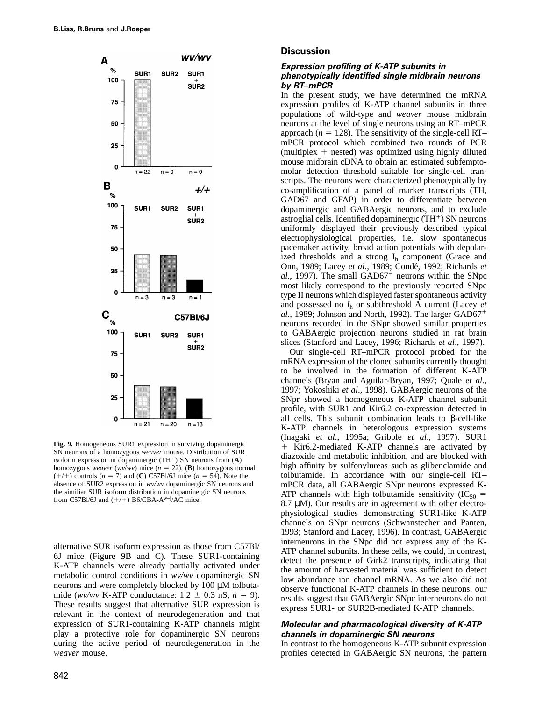![](_page_9_Figure_1.jpeg)

**Fig. 9.** Homogeneous SUR1 expression in surviving dopaminergic SN neurons of a homozygous *weaver* mouse. Distribution of SUR isoform expression in dopaminergic  $(TH^+)$  SN neurons from  $(A)$ homozygous *weaver* (*wv*/*wv*) mice ( $n = 22$ ), (**B**) homozygous normal  $(+/+)$  controls ( $n = 7$ ) and (C) C57Bl/6J mice ( $n = 54$ ). Note the absence of SUR2 expression in *wv/wv* dopaminergic SN neurons and the similiar SUR isoform distribution in dopaminergic SN neurons from C57Bl/6J and  $(+/+)$  B6/CBA-A<sup>w–j</sup>/AC mice.

alternative SUR isoform expression as those from C57Bl/ 6J mice (Figure 9B and C). These SUR1-containing K-ATP channels were already partially activated under metabolic control conditions in *wv/wv* dopaminergic SN neurons and were completely blocked by 100 µM tolbutamide (*wv/wv* K-ATP conductance:  $1.2 \pm 0.3$  nS,  $n = 9$ ). These results suggest that alternative SUR expression is relevant in the context of neurodegeneration and that expression of SUR1-containing K-ATP channels might play a protective role for dopaminergic SN neurons during the active period of neurodegeneration in the *weaver* mouse.

#### 842

## **Discussion**

#### **Expression profiling of K-ATP subunits in phenotypically identified single midbrain neurons by RT–mPCR**

In the present study, we have determined the mRNA expression profiles of K-ATP channel subunits in three populations of wild-type and *weaver* mouse midbrain neurons at the level of single neurons using an RT–mPCR approach  $(n = 128)$ . The sensitivity of the single-cell RT– mPCR protocol which combined two rounds of PCR (multiplex  $+$  nested) was optimized using highly diluted mouse midbrain cDNA to obtain an estimated subfemptomolar detection threshold suitable for single-cell transcripts. The neurons were characterized phenotypically by co-amplification of a panel of marker transcripts (TH, GAD67 and GFAP) in order to differentiate between dopaminergic and GABAergic neurons, and to exclude astroglial cells. Identified dopaminergic  $(TH^+)$  SN neurons uniformly displayed their previously described typical electrophysiological properties, i.e. slow spontaneous pacemaker activity, broad action potentials with depolarized thresholds and a strong  $I_h$  component (Grace and Onn, 1989; Lacey *et al*., 1989; Conde´, 1992; Richards *et*  $al., 1997$ ). The small  $GAD67<sup>+</sup>$  neurons within the SNpc most likely correspond to the previously reported SNpc type II neurons which displayed faster spontaneous activity and possessed no *I*<sup>h</sup> or subthreshold A current (Lacey *et al.*, 1989; Johnson and North, 1992). The larger  $GAD67<sup>+</sup>$ neurons recorded in the SNpr showed similar properties to GABAergic projection neurons studied in rat brain slices (Stanford and Lacey, 1996; Richards *et al*., 1997).

Our single-cell RT–mPCR protocol probed for the mRNA expression of the cloned subunits currently thought to be involved in the formation of different K-ATP channels (Bryan and Aguilar-Bryan, 1997; Quale *et al*., 1997; Yokoshiki *et al*., 1998). GABAergic neurons of the SNpr showed a homogeneous K-ATP channel subunit profile, with SUR1 and Kir6.2 co-expression detected in all cells. This subunit combination leads to β-cell-like K-ATP channels in heterologous expression systems (Inagaki *et al*., 1995a; Gribble *et al*., 1997). SUR1 1 Kir6.2-mediated K-ATP channels are activated by diazoxide and metabolic inhibition, and are blocked with high affinity by sulfonylureas such as glibenclamide and tolbutamide. In accordance with our single-cell RT– mPCR data, all GABAergic SNpr neurons expressed K-ATP channels with high tolbutamide sensitivity (IC<sub>50</sub> = 8.7 µM). Our results are in agreement with other electrophysiological studies demonstrating SUR1-like K-ATP channels on SNpr neurons (Schwanstecher and Panten, 1993; Stanford and Lacey, 1996). In contrast, GABAergic interneurons in the SNpc did not express any of the K-ATP channel subunits. In these cells, we could, in contrast, detect the presence of Girk2 transcripts, indicating that the amount of harvested material was sufficient to detect low abundance ion channel mRNA. As we also did not observe functional K-ATP channels in these neurons, our results suggest that GABAergic SNpc interneurons do not express SUR1- or SUR2B-mediated K-ATP channels.

## **Molecular and pharmacological diversity of K-ATP channels in dopaminergic SN neurons**

In contrast to the homogeneous K-ATP subunit expression profiles detected in GABAergic SN neurons, the pattern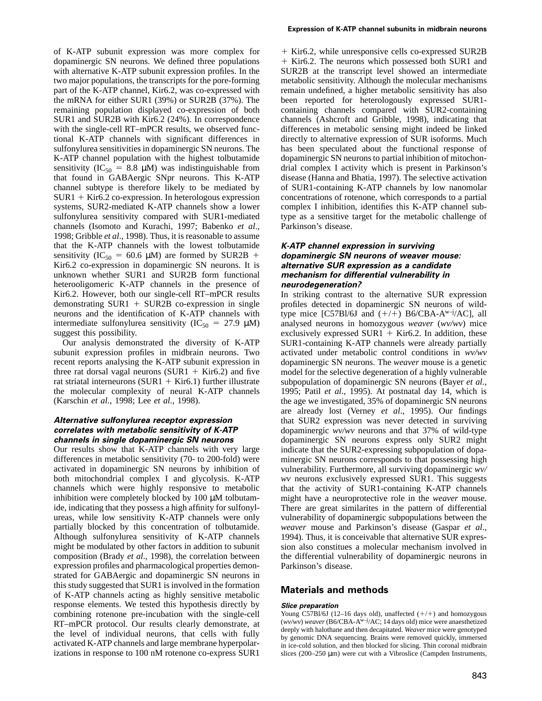of K-ATP subunit expression was more complex for dopaminergic SN neurons. We defined three populations with alternative K-ATP subunit expression profiles. In the two major populations, the transcripts for the pore-forming part of the K-ATP channel, Kir6.2, was co-expressed with the mRNA for either SUR1 (39%) or SUR2B (37%). The remaining population displayed co-expression of both SUR1 and SUR2B with Kir6.2 (24%). In correspondence with the single-cell RT–mPCR results, we observed functional K-ATP channels with significant differences in sulfonylurea sensitivities in dopaminergic SN neurons. The K-ATP channel population with the highest tolbutamide sensitivity (IC<sub>50</sub> = 8.8  $\mu$ M) was indistinguishable from that found in GABAergic SNpr neurons. This K-ATP channel subtype is therefore likely to be mediated by  $SUR1 + Kir6.2$  co-expression. In heterologous expression systems, SUR2-mediated K-ATP channels show a lower sulfonylurea sensitivity compared with SUR1-mediated channels (Isomoto and Kurachi, 1997; Babenko *et al*., 1998; Gribble *et al*., 1998). Thus, it is reasonable to assume that the K-ATP channels with the lowest tolbutamide sensitivity (IC<sub>50</sub> = 60.6  $\mu$ M) are formed by SUR2B + Kir6.2 co-expression in dopaminergic SN neurons. It is unknown whether SUR1 and SUR2B form functional heterooligomeric K-ATP channels in the presence of Kir6.2. However, both our single-cell RT–mPCR results demonstrating  $SURI + SUR2B$  co-expression in single neurons and the identification of K-ATP channels with intermediate sulfonylurea sensitivity (IC<sub>50</sub> = 27.9  $\mu$ M) suggest this possibility.

Our analysis demonstrated the diversity of K-ATP subunit expression profiles in midbrain neurons. Two recent reports analysing the K-ATP subunit expression in three rat dorsal vagal neurons (SUR1 + Kir6.2) and five rat striatal interneurons ( $SUR1 + Kir6.1$ ) further illustrate the molecular complexity of neural K-ATP channels (Karschin *et al*., 1998; Lee *et al*., 1998).

## **Alternative sulfonylurea receptor expression correlates with metabolic sensitivity of K-ATP channels in single dopaminergic SN neurons**

Our results show that K-ATP channels with very large differences in metabolic sensitivity (70- to 200-fold) were activated in dopaminergic SN neurons by inhibition of both mitochondrial complex I and glycolysis. K-ATP channels which were highly responsive to metabolic inhibition were completely blocked by  $100 \mu M$  tolbutamide, indicating that they possess a high affinity for sulfonylureas, while low sensitivity K-ATP channels were only partially blocked by this concentration of tolbutamide. Although sulfonylurea sensitivity of K-ATP channels might be modulated by other factors in addition to subunit composition (Brady *et al*., 1998), the correlation between expression profiles and pharmacological properties demonstrated for GABAergic and dopaminergic SN neurons in this study suggested that SUR1 is involved in the formation of K-ATP channels acting as highly sensitive metabolic response elements. We tested this hypothesis directly by combining rotenone pre-incubation with the single-cell RT–mPCR protocol. Our results clearly demonstrate, at the level of individual neurons, that cells with fully activated K-ATP channels and large membrane hyperpolarizations in response to 100 nM rotenone co-express SUR1

1 Kir6.2, while unresponsive cells co-expressed SUR2B 1 Kir6.2. The neurons which possessed both SUR1 and SUR2B at the transcript level showed an intermediate metabolic sensitivity. Although the molecular mechanisms remain undefined, a higher metabolic sensitivity has also been reported for heterologously expressed SUR1 containing channels compared with SUR2-containing channels (Ashcroft and Gribble, 1998), indicating that differences in metabolic sensing might indeed be linked directly to alternative expression of SUR isoforms. Much has been speculated about the functional response of dopaminergic SN neurons to partial inhibition of mitochondrial complex I activity which is present in Parkinson's disease (Hanna and Bhatia, 1997). The selective activation of SUR1-containing K-ATP channels by low nanomolar concentrations of rotenone, which corresponds to a partial complex I inhibition, identifies this K-ATP channel subtype as a sensitive target for the metabolic challenge of Parkinson's disease.

## **K-ATP channel expression in surviving dopaminergic SN neurons of weaver mouse: alternative SUR expression as <sup>a</sup> candidate mechanism for differential vulnerability in neurodegeneration?**

In striking contrast to the alternative SUR expression profiles detected in dopaminergic SN neurons of wildtype mice [C57Bl/6J and  $(+/+)$  B6/CBA-A<sup>w-j</sup>/AC], all analysed neurons in homozygous *weaver* (*wv/wv*) mice exclusively expressed  $SUR1 + Kir6.2$ . In addition, these SUR1-containing K-ATP channels were already partially activated under metabolic control conditions in *wv/wv* dopaminergic SN neurons. The *weaver* mouse is a genetic model for the selective degeneration of a highly vulnerable subpopulation of dopaminergic SN neurons (Bayer *et al*., 1995; Patil *et al*., 1995). At postnatal day 14, which is the age we investigated, 35% of dopaminergic SN neurons are already lost (Verney *et al*., 1995). Our findings that SUR2 expression was never detected in surviving dopaminergic *wv/wv* neurons and that 37% of wild-type dopaminergic SN neurons express only SUR2 might indicate that the SUR2-expressing subpopulation of dopaminergic SN neurons corresponds to that possessing high vulnerability. Furthermore, all surviving dopaminergic *wv/ wv* neurons exclusively expressed SUR1. This suggests that the activity of SUR1-containing K-ATP channels might have a neuroprotective role in the *weaver* mouse. There are great similarites in the pattern of differential vulnerability of dopaminergic subpopulations between the *weaver* mouse and Parkinson's disease (Gaspar *et al*., 1994). Thus, it is conceivable that alternative SUR expression also constitues a molecular mechanism involved in the differential vulnerability of dopaminergic neurons in Parkinson's disease.

#### **Materials and methods**

#### **Slice preparation**

Young C57Bl/6J (12-16 days old), unaffected  $(+/+)$  and homozygous (*wv/wv*) *weaver*(B6/CBA-Aw–j/AC; 14 days old) mice were anaesthetized deeply with halothane and then decapitated. *Weaver* mice were genotyped by genomic DNA sequencing. Brains were removed quickly, immersed in ice-cold solution, and then blocked for slicing. Thin coronal midbrain slices (200–250 µm) were cut with a Vibroslice (Campden Instruments,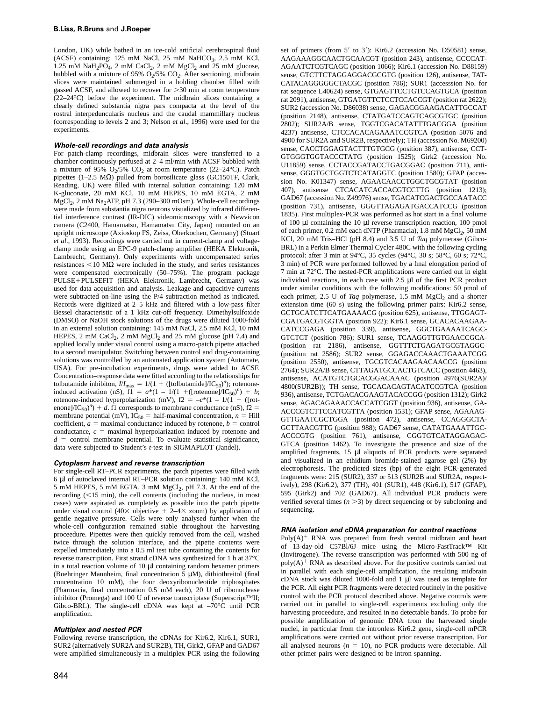London, UK) while bathed in an ice-cold artificial cerebrospinal fluid (ACSF) containing: 125 mM NaCl, 25 mM NaHCO<sub>3</sub>, 2.5 mM KCl, 1.25 mM NaH<sub>2</sub>PO<sub>4</sub>, 2 mM CaCl<sub>2</sub>, 2 mM MgCl<sub>2</sub> and 25 mM glucose, bubbled with a mixture of 95%  $O_2/5\%$  CO<sub>2</sub>. After sectioning, midbrain slices were maintained submerged in a holding chamber filled with gassed ACSF, and allowed to recover for  $>30$  min at room temperature (22–24°C) before the experiment. The midbrain slices containing a clearly defined substantia nigra pars compacta at the level of the rostral interpeduncularis nucleus and the caudal mammillary nucleus (corresponding to levels 2 and 3; Nelson *et al*., 1996) were used for the experiments.

#### **Whole-cell recordings and data analysis**

For patch-clamp recordings, midbrain slices were transferred to a chamber continuously perfused at 2–4 ml/min with ACSF bubbled with a mixture of 95%  $O_2/5\%$  CO<sub>2</sub> at room temperature (22–24°C). Patch pipettes (1–2.5 MΩ) pulled from borosilicate glass (GC150TF, Clark, Reading, UK) were filled with internal solution containing: 120 mM K-gluconate, 20 mM KCl, 10 mM HEPES, 10 mM EGTA, 2 mM MgCl<sub>2</sub>, 2 mM Na<sub>2</sub>ATP, pH 7.3 (290–300 mOsm). Whole-cell recordings were made from substantia nigra neurons visualized by infrared differential interference contrast (IR-DIC) videomicroscopy with a Newvicon camera (C2400, Hamamatsu, Hamamatsu City, Japan) mounted on an upright microscope (Axioskop FS, Zeiss, Oberkochen, Germany) (Stuart *et al*., 1993). Recordings were carried out in current-clamp and voltageclamp mode using an EPC-9 patch-clamp amplifier (HEKA Elektronik, Lambrecht, Germany). Only experiments with uncompensated series resistances  $\leq 10$  M $\Omega$  were included in the study, and series resistances were compensated electronically (50–75%). The program package PULSE+PULSEFIT (HEKA Elektronik, Lambrecht, Germany) was used for data acquisition and analysis. Leakage and capacitive currents were subtracted on-line using the P/4 subtraction method as indicated. Records were digitized at 2–5 kHz and filtered with a low-pass filter Bessel characteristic of a 1 kHz cut-off frequency. Dimethylsulfoxide (DMSO) or NaOH stock solutions of the drugs were diluted 1000-fold in an external solution containing: 145 mM NaCl, 2.5 mM KCl, 10 mM HEPES, 2 mM CaCl<sub>2</sub>, 2 mM MgCl<sub>2</sub> and 25 mM glucose (pH 7.4) and applied locally under visual control using a macro-patch pipette attached to a second manipulator. Switching between control and drug-containing solutions was controlled by an automated application system (Automate, USA). For pre-incubation experiments, drugs were added to ACSF. Concentration–response data were fitted according to the relationships for tolbutamide inhibiton,  $I/I_{\text{max}} = 1/(1 + ([\text{tolbutamide}]/IC_{50})^n)$ ; rotenoneinduced activation (nS),  $f1 = a^*(1 - 1/(1 + ([rotenone]/IC_{50})^n) + b;$ rotenone-induced hyperpolarization (mV),  $f2 = -c*(1 - 1/(1 + ([rot-1)(1 - 1)])$ enone]/IC<sub>50</sub>)<sup>*n*</sup>) + *d*. f1 corresponds to membrane conductance (nS), f2 = membrane potential (mV),  $IC_{50}$  = half-maximal concentration, *n* = Hill coefficient,  $a =$  maximal conductance induced by rotenone,  $b =$  control conductance,  $c =$  maximal hyperpolarization induced by rotenone and  $d =$  control membrane potential. To evaluate statistical significance, data were subjected to Student's *t*-test in SIGMAPLOT (Jandel).

#### **Cytoplasm harvest and reverse transcription**

For single-cell RT–PCR experiments, the patch pipettes were filled with 6 µl of autoclaved internal RT–PCR solution containing: 140 mM KCl, 5 mM HEPES, 5 mM EGTA, 3 mM  $MgCl<sub>2</sub>$ , pH 7.3. At the end of the recording  $(<15 \text{ min}$ ), the cell contents (including the nucleus, in most cases) were aspirated as completely as possible into the patch pipette under visual control (40 $\times$  objective + 2–4 $\times$  zoom) by application of gentle negative pressure. Cells were only analysed further when the whole-cell configuration remained stable throughout the harvesting proceedure. Pipettes were then quickly removed from the cell, washed twice through the solution interface, and the pipette contents were expelled immediately into a 0.5 ml test tube containing the contents for reverse transcription. First strand cDNA was synthesized for 1 h at 37°C in a total reaction volume of  $10 \mu l$  containing random hexamer primers (Boehringer Mannheim, final concentration 5 µM), dithiothreitol (final concentration 10 mM), the four deoxyribonucleotide triphosphates (Pharmacia, final concentration 0.5 mM each), 20 U of ribonuclease inhibitor (Promega) and 100 U of reverse transcriptase (Superscript™II; Gibco-BRL). The single-cell cDNA was kept at –70°C until PCR amplification.

#### **Multiplex and nested PCR**

Following reverse transcription, the cDNAs for Kir6.2, Kir6.1, SUR1, SUR2 (alternatively SUR2A and SUR2B), TH, Girk2, GFAP and GAD67 were amplified simultaneously in a multiplex PCR using the following

set of primers (from  $5'$  to  $3'$ ): Kir6.2 (accession No. D50581) sense, AAGAAAGGCAACTGCAACGT (position 243), antisense, CCCCAT-AGAATCTCGTCAGC (position 1066); Kir6.1 (accession No. D88159) sense, GTCTTCTAGGAGGACGCGTG (position 126), antisense, TAT-CATACAGGGGGCTACGC (position 786); SUR1 (accesssion No. for rat sequence L40624) sense, GTGAGTTCCTGTCCAGTGCA (position rat 2091), antisense, GTGATGTTCTCCTCCACCGT (position rat 2622); SUR2 (accession No. D86038) sense, GAGACGGAAGACATTGCCAT (position 2148), antisense, CTATGATCCAGTCAGCGTGC (position 2802); SUR2A/B sense, TGGTCGACATATTTGACGGA (position 4237) antisense, CTCCACACAGAAATCCGTCA (position 5076 and 4900 for SUR2A and SUR2B, respectively); TH (accession No. M69200) sense, CACCTGGAGTACTTTGTGCG (position 387), antisense, CCT-GTGGGTGGTACCCTATG (position 1525); Girk2 (accession No. U11859) sense, CCTACCGATACCTGACGGAC (position 711), antisense, GGGTGCTGGTCTCATAGGTC (position 1580); GFAP (accession No. K01347) sense, AGAACAACCTGGCTGCGTAT (position 407), antisense CTCACATCACCACGTCCTTG (position 1213); GAD67 (accession No. Z49976) sense, TGACATCGACTGCCAATACC (position 731), antisense, GGGTTAGAGATGACCATCCG (position 1835). First multiplex-PCR was performed as hot start in a final volume of 100 µl containing the 10 µl reverse transcription reaction, 100 pmol of each primer, 0.2 mM each dNTP (Pharmacia), 1.8 mM MgCl<sub>2</sub>, 50 mM KCl, 20 mM Tris–HCl (pH 8.4) and 3.5 U of *Taq* polymerase (Gibco-BRL) in a Perkin Elmer Thermal Cycler 480C with the following cycling protocol: after 3 min at 94°C, 35 cycles (94°C, 30 s; 58°C, 60 s; 72°C, 3 min) of PCR were performed followed by a final elongation period of 7 min at 72°C. The nested-PCR amplifications were carried out in eight individual reactions, in each case with 2.5 µl of the first PCR product under similar conditions with the following modifications: 50 pmol of each primer, 2.5 U of *Taq* polymerase, 1.5 mM MgCl<sub>2</sub> and a shorter extension time (60 s) using the following primer pairs: Kir6.2 sense, GCTGCATCTTCATGAAAACG (position 625), antisense, TTGGAGT-CGATGACGTGGTA (position 922); Kir6.1 sense, GCACACAAGAA-CATCCGAGA (position 339), antisense, GGCTGAAAATCAGC-GTCTCT (position 786); SUR1 sense, TCAAGGTTGTGAACCGCA- (position rat 2186), antisense, GGTTTCTGAGATGCGTAGGC- (position rat 2586); SUR2 sense, GGAGACCAAACTGAAATCGG (position 2550), antisense, TGCGTCACAAGAACAACCG (position 2764); SUR2A/B sense, CTTAGATGCCACTGTCACC (position 4463), antisense, ACATGTCTGCACGGACAAAC (position 4976(SUR2A)/ 4800(SUR2B)); TH sense, TGCACACAGTACATCCGTCA (position 936), antisense, TCTGACACGAAGTACACCGG (position 1312); Girk2 sense, AGACAGAAACCACCATCGGT (position 936), antisense, GA-ACCCGTCTTCCATCGTTA (position 1531); GFAP sense, AGAAAG-GTTGAATCGCTGGA (position 472), antisense, CCAGGGCTA-GCTTAACGTTG (position 988); GAD67 sense, CATATGAAATTGC-ACCCGTG (position 761), antisense, CGGTGTCATAGGAGAC-GTCA (position 1462). To investigate the presence and size of the amplified fragments, 15 µl aliquots of PCR products were separated and visualized in an ethidium bromide-stained agarose gel (2%) by electrophoresis. The predicted sizes (bp) of the eight PCR-generated fragments were: 215 (SUR2), 337 or 513 (SUR2B and SUR2A, respectively), 298 (Kir6.2), 377 (TH), 401 (SUR1), 448 (Kir6.1), 517 (GFAP), 595 (Girk2) and 702 (GAD67). All individual PCR products were verified several times  $(n > 3)$  by direct sequencing or by subcloning and sequencing.

#### **RNA isolation and cDNA preparation for control reactions**

 $Poly(A)^+$  RNA was prepared from fresh ventral midbrain and heart of 13-day-old C57Bl/6J mice using the Micro-FastTrack™ Kit (Invitrogene). The reverse transcription was performed with 500 ng of  $poly(A)^+$  RNA as described above. For the positive controls carried out in parallel with each single-cell amplification, the resulting midbrain cDNA stock was diluted 1000-fold and 1 µl was used as template for the PCR. All eight PCR fragments were detected routinely in the positive control with the PCR protocol described above. Negative controls were carried out in parallel to single-cell experiments excluding only the harvesting proceedure, and resulted in no detectable bands. To probe for possible amplification of genomic DNA from the harvested single nuclei, in particular from the intronless Kir6.2 gene, single-cell mPCR amplifications were carried out without prior reverse transcription. For all analysed neurons  $(n = 10)$ , no PCR products were detectable. All other primer pairs were designed to be intron spanning.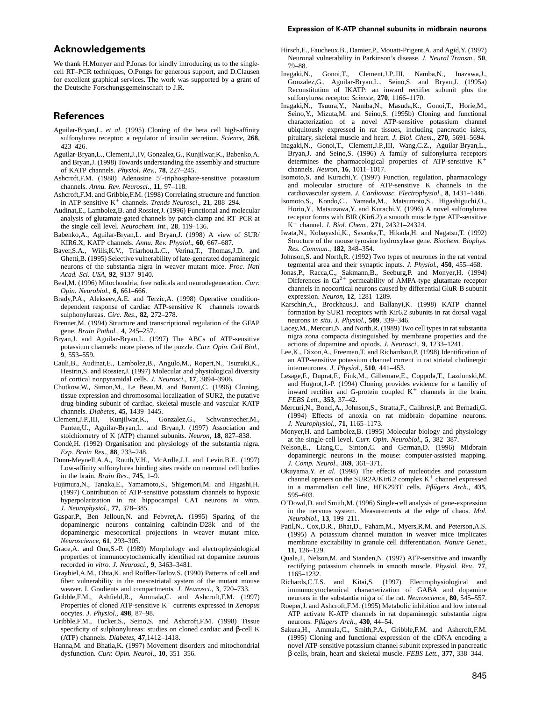#### **Expression of K-ATP channel subunits in midbrain neurons**

# **Acknowledgements**

We thank H.Monyer and P.Jonas for kindly introducing us to the singlecell RT–PCR techniques, O.Pongs for generous support, and D.Clausen for excellent graphical services. The work was supported by a grant of the Deutsche Forschungsgemeinschaft to J.R.

# **References**

- Aguilar-Bryan,L. *et al*. (1995) Cloning of the beta cell high-affinity sulfonylurea receptor: a regulator of insulin secretion*. Science*, **268**, 423–426.
- Aguilar-Bryan,L., Clement,J.,IV, Gonzalez,G., Kunjilwar,K., Babenko,A. and Bryan,J. (1998) Towards understanding the assembly and structure of KATP channels. *Physiol. Rev.*, **78**, 227–245.
- Ashcroft,F.M. (1988) Adenosine 5'-triphosphate-sensitive potassium channels. *Annu. Rev. Neurosci*., **11**, 97–118.
- Ashcroft,F.M. and Gribble,F.M. (1998) Correlating structure and function in ATP-sensitive K<sup>+</sup> channels. *Trends Neurosci.*, **21**, 288-294.
- Audinat,E., Lambolez,B. and Rossier,J. (1996) Functional and molecular analysis of glutamate-gated channels by patch-clamp and RT–PCR at the single cell level. *Neurochem. Int*., **28**, 119–136.
- Babenko,A., Aguilar-Bryan,L. and Bryan,J. (1998) A view of SUR/ KIR6.X, KATP channels. *Annu. Rev. Physiol*., **60**, 667–687.
- Bayer,S.A., Wills,K.V., Triarhou,L.C., Verina,T., Thomas,J.D. and Ghetti,B. (1995) Selective vulnerability of late-generated dopaminergic neurons of the substantia nigra in weaver mutant mice. *Proc. Natl Acad. Sci. USA*, **92**, 9137–9140.
- Beal,M. (1996) Mitochondria, free radicals and neurodegeneration. *Curr. Opin. Neurobiol*., **6**, 661–666.
- Brady,P.A., Alekseev,A.E. and Terzic,A. (1998) Operative conditiondependent response of cardiac ATP-sensitive  $K^+$  channels towards sulphonylureas. *Circ. Res*., **82**, 272–278.
- Brenner,M. (1994) Structure and transcriptional regulation of the GFAP gene. *Brain Pathol*., **4**, 245–257.
- Bryan,J. and Aguilar-Bryan,L. (1997) The ABCs of ATP-sensitive potassium channels: more pieces of the puzzle. *Curr. Opin. Cell Biol.*, **9**, 553–559.
- Cauli,B., Audinat,E., Lambolez,B., Angulo,M., Ropert,N., Tsuzuki,K., Hestrin,S. and Rossier,J. (1997) Molecular and physiological diversity of cortical nonpyramidal cells. *J. Neurosci*., **17**, 3894–3906.
- Chutkow,W., Simon,M., Le Beau,M. and Burant,C. (1996) Cloning, tissue expression and chromosomal localization of SUR2, the putative drug-binding subunit of cardiac, skeletal muscle and vascular KATP channels. *Diabetes*, **45**, 1439–1445.
- Clement,J.P.,III, Kunjilwar,K., Gonzalez,G., Schwanstecher,M., Panten,U., Aguilar-Bryan,L. and Bryan,J. (1997) Association and stoichiometry of K (ATP) channel subunits. *Neuron*, **18**, 827–838.
- Condé,H. (1992) Organisation and physiology of the substantia nigra. *Exp. Brain Res*., **88**, 233–248.
- Dunn-Meynell,A.A., Routh,V.H., McArdle,J.J. and Levin,B.E. (1997) Low-affinity sulfonylurea binding sites reside on neuronal cell bodies in the brain. *Brain Res*., **745**, 1–9.
- Fujimura,N., Tanaka,E., Yamamoto,S., Shigemori,M. and Higashi,H. (1997) Contribution of ATP-sensitive potassium channels to hypoxic hyperpolarization in rat hippocampal CA1 neurons *in vitro. J. Neurophysiol*., **77**, 378–385.
- Gaspar,P., Ben Jelloun,N. and Febvret,A. (1995) Sparing of the dopaminergic neurons containing calbindin-D28k and of the dopaminergic mesocortical projections in weaver mutant mice*. Neuroscience*, **61**, 293–305.
- Grace,A. and Onn,S.-P. (1989) Morphology and electrophysiological properties of immunocytochemically identified rat dopamine neurons recorded *in vitro. J. Neurosci*., **9**, 3463–3481.
- Graybiel,A.M., Ohta,K. and Roffler-Tarlov,S. (1990) Patterns of cell and fiber vulnerability in the mesostriatal system of the mutant mouse weaver. I. Gradients and compartments*. J. Neurosci*., **3**, 720–733.
- Gribble,F.M., Ashfield,R., Ammala,C. and Ashcroft,F.M. (1997) Properties of cloned ATP-sensitive K<sup>+</sup> currents expressed in *Xenopus* oocytes. *J. Physiol*., **498**, 87–98.
- Gribble,F.M., Tucker,S., Seino,S. and Ashcroft,F.M. (1998) Tissue specificity of sulphonylureas: studies on cloned cardiac and β-cell K (ATP) channels. *Diabetes*, **47**,1412–1418.
- Hanna,M. and Bhatia,K. (1997) Movement disorders and mitochondrial dysfunction. *Curr. Opin. Neurol*., **10**, 351–356.
- Hirsch,E., Faucheux,B., Damier,P., Mouatt-Prigent,A. and Agid,Y. (1997) Neuronal vulnerability in Parkinson's disease. *J. Neural Transm*., **50**, 79–88.
- Inagaki,N., Gonoi,T., Clement,J.P.,III, Namba,N., Inazawa,J., Gonzalez,G., Aguilar-Bryan,L., Seino,S. and Bryan,J. (1995a) Reconstitution of IKATP: an inward rectifier subunit plus the sulfonylurea receptor*. Science*, **270**, 1166–1170.
- Inagaki,N., Tsuura,Y., Namba,N., Masuda,K., Gonoi,T., Horie,M., Seino,Y., Mizuta,M. and Seino,S. (1995b) Cloning and functional characterization of a novel ATP-sensitive potassium channel ubiquitously expressed in rat tissues, including pancreatic islets, pituitary, skeletal muscle and heart. *J. Biol. Chem.*, **270**, 5691–5694.
- Inagaki,N., Gonoi,T., Clement,J.P.,III, Wang,C.Z., Aguilar-Bryan,L., Bryan,J. and Seino,S. (1996) A family of sulfonylurea receptors determines the pharmacological properties of ATP-sensitive  $K^+$ channels. *Neuron*, **16**, 1011–1017.
- Isomoto,S. and Kurachi,Y. (1997) Function, regulation, pharmacology and molecular structure of ATP-sensitive K channels in the cardiovascular system. *J. Cardiovasc. Electrophysiol*., **8**, 1431–1446.
- Isomoto,S., Kondo,C., Yamada,M., Matsumoto,S., Higashiguchi,O., Horio,Y., Matsuzawa,Y. and Kurachi,Y. (1996) A novel sulfonylurea receptor forms with BIR (Kir6.2) a smooth muscle type ATP-sensitive K<sup>+</sup> channel. *J. Biol. Chem.*, **271**, 24321-24324.
- Iwata,N., Kobayashi,K., Sasaoka,T., Hikada,H. and Nagatsu,T. (1992) Structure of the mouse tyrosine hydroxylase gene. *Biochem. Biophys. Res. Commun.*, **182**, 348–354.
- Johnson,S. and North,R. (1992) Two types of neurones in the rat ventral tegmental area and their synaptic inputs. *J. Physiol.*, **450**, 455–468.
- Jonas,P., Racca,C., Sakmann,B., Seeburg,P. and Monyer,H. (1994) Differences in  $Ca^{2+}$  permeability of AMPA-type glutamate receptor channels in neocortical neurons caused by differential GluR-B subunit expression. *Neuron*, **12**, 1281–1289.
- Karschin,A., Brockhaus,J. and Ballanyi,K. (1998) KATP channel formation by SUR1 receptors with Kir6.2 subunits in rat dorsal vagal neurons *in situ*. *J. Physiol.*, **509**, 339–346.
- Lacey,M., Mercuri,N. and North,R. (1989) Two cell types in rat substantia nigra zona compacta distinguished by membrane properties and the actions of dopamine and opiods. *J. Neurosci*., **9**, 1233–1241.
- Lee,K., Dixon,A., Freeman,T. and Richardson,P. (1998) Identification of an ATP-sensitive potassium channel current in rat striatal cholinergic interneurones. *J. Physiol.*, **510**, 441–453.
- Lesage,F., Duprat,F., Fink,M., Gillemare,E., Coppola,T., Lazdunski,M. and Hugnot,J.-P. (1994) Cloning provides evidence for a familiy of inward rectifier and G-protein coupled  $K^+$  channels in the brain. *FEBS Lett.*, **353**, 37–42.
- Mercuri,N., Bonci,A., Johnson,S., Stratta,F., Calibresi,P. and Bernadi,G. (1994) Effects of anoxia on rat midbrain dopamine neurons. *J. Neurophysiol*., **71**, 1165–1173.
- Monyer,H. and Lambolez,B. (1995) Molecular biology and physiology at the single-cell level. *Curr. Opin. Neurobiol*., **5**, 382–387.
- Nelson,E., Liang,C., Sinton,C. and German,D. (1996) Midbrain dopaminergic neurons in the mouse: computer-assisted mapping. *J. Comp. Neurol*., **369**, 361–371.
- Okuyama,Y. *et al*. (1998) The effects of nucleotides and potassium channel openers on the SUR2A/Kir6.2 complex  $K^+$  channel expressed in a mammalian cell line, HEK293T cells. *Pflügers Arch.*, 435, 595–603.
- O'Dowd,D. and Smith,M. (1996) Single-cell analysis of gene-expression in the nervous system. Measurements at the edge of chaos. *Mol. Neurobiol*., **13**, 199–211.
- Patil,N., Cox,D.R., Bhat,D., Faham,M., Myers,R.M. and Peterson,A.S. (1995) A potassium channel mutation in weaver mice implicates membrane excitability in granule cell differentiation. *Nature Genet.*, **11**, 126–129.
- Quale,J., Nelson,M. and Standen,N. (1997) ATP-sensitive and inwardly rectifying potassium channels in smooth muscle. *Physiol. Rev.*, **77**, 1165–1232.
- Richards,C.T.S. and Kitai,S. (1997) Electrophysiological and immunocytochemical characterization of GABA and dopamine neurons in the substantia nigra of the rat*. Neuroscience*, **80**, 545–557.
- Roeper,J. and Ashcroft,F.M. (1995) Metabolic inhibition and low internal ATP activate K-ATP channels in rat dopaminergic substantia nigra neurons. *Pflu¨gers Arch*., **430**, 44–54.
- Sakura,H., Ammala,C., Smith,P.A., Gribble,F.M. and Ashcroft,F.M. (1995) Cloning and functional expression of the cDNA encoding a novel ATP-sensitive potassium channel subunit expressed in pancreatic β-cells, brain, heart and skeletal muscle. *FEBS Lett.*, **377**, 338–344.